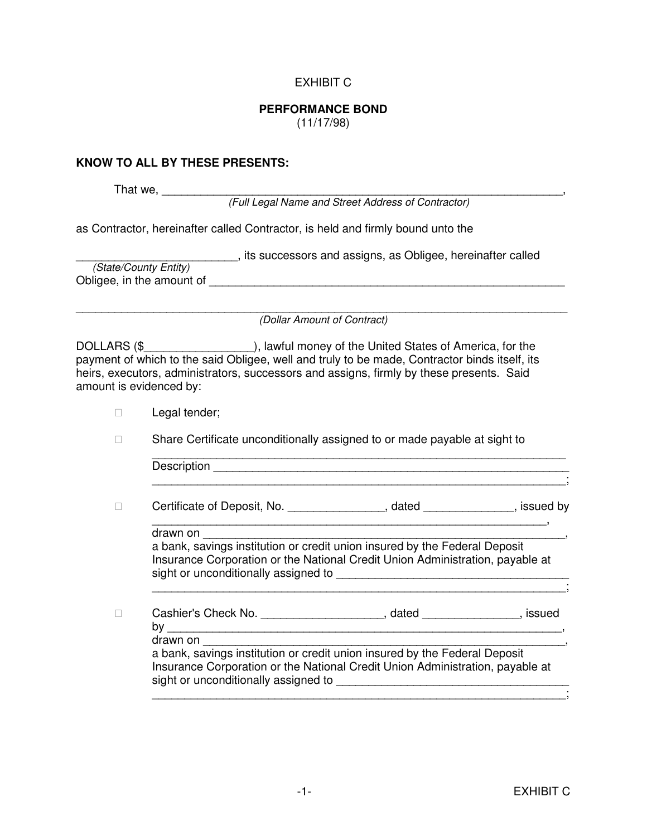## EXHIBIT C

## **PERFORMANCE BOND**

(11/17/98)

## **KNOW TO ALL BY THESE PRESENTS:**

That we, \_\_\_\_\_\_\_\_\_\_\_\_\_\_\_\_\_\_\_\_\_\_\_\_\_\_\_\_\_\_\_\_\_\_\_\_\_\_\_\_\_\_\_\_\_\_\_\_\_\_\_\_\_\_\_\_\_\_\_\_\_\_,

(Full Legal Name and Street Address of Contractor)

as Contractor, hereinafter called Contractor, is held and firmly bound unto the

|                           | its successors and assigns, as Obligee, hereinafter called |
|---------------------------|------------------------------------------------------------|
| (State/County Entity)     |                                                            |
| Obligee, in the amount of |                                                            |

\_\_\_\_\_\_\_\_\_\_\_\_\_\_\_\_\_\_\_\_\_\_\_\_\_\_\_\_\_\_\_\_\_\_\_\_\_\_\_\_\_\_\_\_\_\_\_\_\_\_\_\_\_\_\_\_\_\_\_\_\_\_\_\_\_\_\_\_\_\_\_\_\_\_\_\_ (Dollar Amount of Contract)

DOLLARS (\$\_\_\_\_\_\_\_\_\_\_\_\_\_\_\_\_\_\_\_\_\_\_\_\_), lawful money of the United States of America, for the payment of which to the said Obligee, well and truly to be made, Contractor binds itself, its heirs, executors, administrators, successors and assigns, firmly by these presents. Said amount is evidenced by:

Legal tender;

Share Certificate unconditionally assigned to or made payable at sight to

\_\_\_\_\_\_\_\_\_\_\_\_\_\_\_\_\_\_\_\_\_\_\_\_\_\_\_\_\_\_\_\_\_\_\_\_\_\_\_\_\_\_\_\_\_\_\_\_\_\_\_\_\_\_\_\_\_\_\_\_\_\_\_\_;

Certificate of Deposit, No. \_\_\_\_\_\_\_\_\_\_\_\_\_\_, dated \_\_\_\_\_\_\_\_\_\_\_, issued by

drawn on

 a bank, savings institution or credit union insured by the Federal Deposit Insurance Corporation or the National Credit Union Administration, payable at sight or unconditionally assigned to \_\_\_\_\_\_\_\_\_\_\_\_\_\_\_\_\_\_\_\_\_\_\_\_\_\_\_\_\_\_\_\_\_\_\_\_

\_\_\_\_\_\_\_\_\_\_\_\_\_\_\_\_\_\_\_\_\_\_\_\_\_\_\_\_\_\_\_\_\_\_\_\_\_\_\_\_\_\_\_\_\_\_\_\_\_\_\_\_\_\_\_\_\_\_\_\_\_\_\_\_;

\_\_\_\_\_\_\_\_\_\_\_\_\_\_\_\_\_\_\_\_\_\_\_\_\_\_\_\_\_\_\_\_\_\_\_\_\_\_\_\_\_\_\_\_\_\_\_\_\_\_\_\_\_\_\_\_\_\_\_\_\_,

| Cashier's Check No. | dated | issued |
|---------------------|-------|--------|
|---------------------|-------|--------|

by \_\_\_\_\_\_\_\_\_\_\_\_\_\_\_\_\_\_\_\_\_\_\_\_\_\_\_\_\_\_\_\_\_\_\_\_\_\_\_\_\_\_\_\_\_\_\_\_\_\_\_\_\_\_\_\_\_\_\_\_\_, drawn on

 a bank, savings institution or credit union insured by the Federal Deposit Insurance Corporation or the National Credit Union Administration, payable at sight or unconditionally assigned to \_\_\_\_\_\_\_\_\_\_\_\_\_\_\_\_\_\_\_\_\_\_\_\_\_\_\_\_\_\_\_\_\_\_\_\_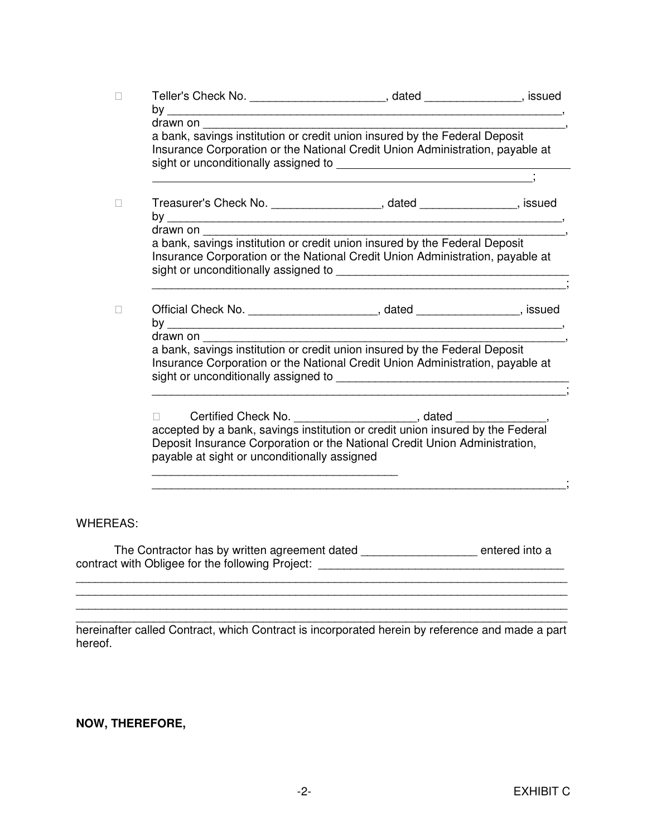| drawn on<br>drawn on | a bank, savings institution or credit union insured by the Federal Deposit<br>Insurance Corporation or the National Credit Union Administration, payable at<br>Treasurer's Check No. _____________________, dated ________________, issued<br>Insurance Corporation or the National Credit Union Administration, payable at<br>Official Check No. _____________________________, dated _____________________, issued<br>a bank, savings institution or credit union insured by the Federal Deposit<br>Insurance Corporation or the National Credit Union Administration, payable at |                                                                                                                                                                                                                                                                                                                                                                                                                                                                                                                                                                                                    |
|----------------------|-------------------------------------------------------------------------------------------------------------------------------------------------------------------------------------------------------------------------------------------------------------------------------------------------------------------------------------------------------------------------------------------------------------------------------------------------------------------------------------------------------------------------------------------------------------------------------------|----------------------------------------------------------------------------------------------------------------------------------------------------------------------------------------------------------------------------------------------------------------------------------------------------------------------------------------------------------------------------------------------------------------------------------------------------------------------------------------------------------------------------------------------------------------------------------------------------|
|                      |                                                                                                                                                                                                                                                                                                                                                                                                                                                                                                                                                                                     |                                                                                                                                                                                                                                                                                                                                                                                                                                                                                                                                                                                                    |
|                      |                                                                                                                                                                                                                                                                                                                                                                                                                                                                                                                                                                                     |                                                                                                                                                                                                                                                                                                                                                                                                                                                                                                                                                                                                    |
|                      |                                                                                                                                                                                                                                                                                                                                                                                                                                                                                                                                                                                     |                                                                                                                                                                                                                                                                                                                                                                                                                                                                                                                                                                                                    |
|                      |                                                                                                                                                                                                                                                                                                                                                                                                                                                                                                                                                                                     |                                                                                                                                                                                                                                                                                                                                                                                                                                                                                                                                                                                                    |
|                      |                                                                                                                                                                                                                                                                                                                                                                                                                                                                                                                                                                                     |                                                                                                                                                                                                                                                                                                                                                                                                                                                                                                                                                                                                    |
|                      |                                                                                                                                                                                                                                                                                                                                                                                                                                                                                                                                                                                     |                                                                                                                                                                                                                                                                                                                                                                                                                                                                                                                                                                                                    |
|                      |                                                                                                                                                                                                                                                                                                                                                                                                                                                                                                                                                                                     |                                                                                                                                                                                                                                                                                                                                                                                                                                                                                                                                                                                                    |
|                      |                                                                                                                                                                                                                                                                                                                                                                                                                                                                                                                                                                                     |                                                                                                                                                                                                                                                                                                                                                                                                                                                                                                                                                                                                    |
|                      |                                                                                                                                                                                                                                                                                                                                                                                                                                                                                                                                                                                     |                                                                                                                                                                                                                                                                                                                                                                                                                                                                                                                                                                                                    |
|                      |                                                                                                                                                                                                                                                                                                                                                                                                                                                                                                                                                                                     |                                                                                                                                                                                                                                                                                                                                                                                                                                                                                                                                                                                                    |
|                      |                                                                                                                                                                                                                                                                                                                                                                                                                                                                                                                                                                                     |                                                                                                                                                                                                                                                                                                                                                                                                                                                                                                                                                                                                    |
|                      |                                                                                                                                                                                                                                                                                                                                                                                                                                                                                                                                                                                     |                                                                                                                                                                                                                                                                                                                                                                                                                                                                                                                                                                                                    |
|                      |                                                                                                                                                                                                                                                                                                                                                                                                                                                                                                                                                                                     |                                                                                                                                                                                                                                                                                                                                                                                                                                                                                                                                                                                                    |
|                      |                                                                                                                                                                                                                                                                                                                                                                                                                                                                                                                                                                                     |                                                                                                                                                                                                                                                                                                                                                                                                                                                                                                                                                                                                    |
|                      |                                                                                                                                                                                                                                                                                                                                                                                                                                                                                                                                                                                     |                                                                                                                                                                                                                                                                                                                                                                                                                                                                                                                                                                                                    |
|                      |                                                                                                                                                                                                                                                                                                                                                                                                                                                                                                                                                                                     | Certified Check No. _______________________, dated ____________, accepted by a bank, savings institution or credit union insured by the Federal<br>Deposit Insurance Corporation or the National Credit Union Administration,<br>payable at sight or unconditionally assigned<br>The Contractor has by written agreement dated __________________ entered into a<br>contract with Obligee for the following Project: Contract Contract Contract Contract Contract Contract Contract Contract Contract Contract Contract Contract Contract Contract Contract Contract Contract Contract Contract Co |

hereinafter called Contract, which Contract is incorporated herein by reference and made a part hereof.

## **NOW, THEREFORE,**